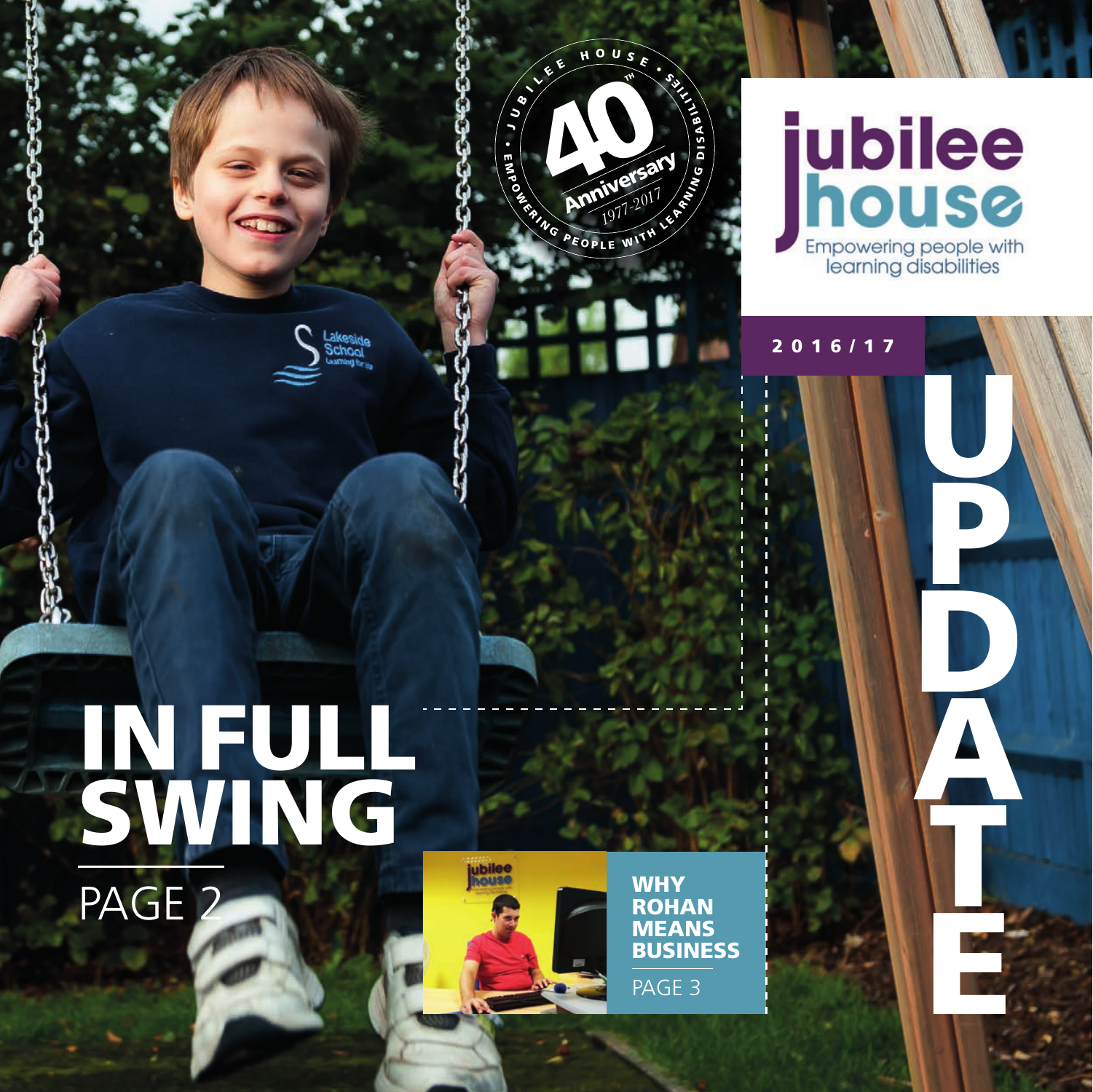



# **jubilee**<br>**house** Empowering people with<br>learning disabilities

2016/17

U

P

D

A

T

E





**ROHAN MEANS** BUSINESS

PAGE 3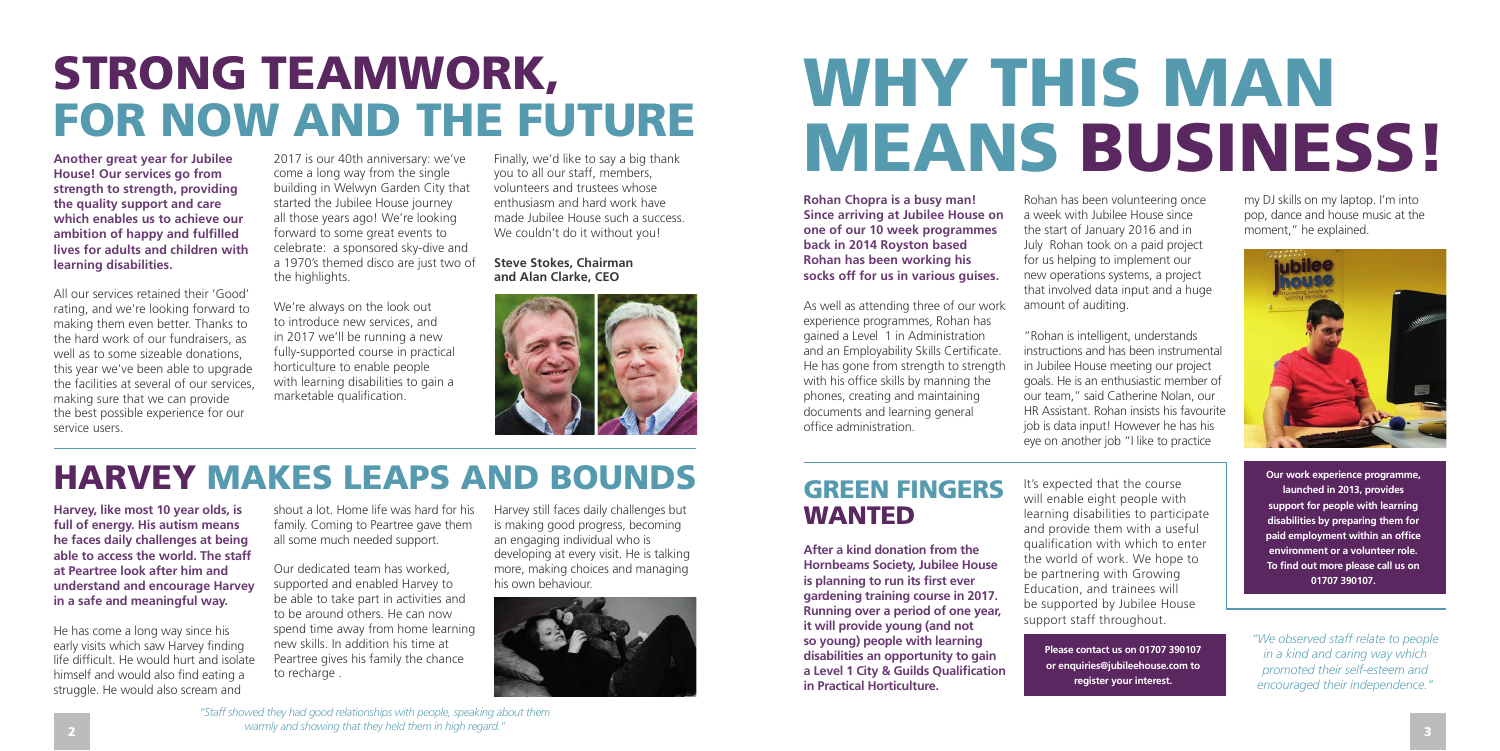**Rohan Chopra is a busy man! Since arriving at Jubilee House on one of our 10 week programmes back in 2014 Royston based Rohan has been working his socks off for us in various guises.**

As well as attending three of our work experience programmes, Rohan has gained a Level 1 in Administration and an Employability Skills Certificate. He has gone from strength to strength with his office skills by manning the phones, creating and maintaining documents and learning general office administration.

Rohan has been volunteering once a week with Jubilee House since the start of January 2016 and in July Rohan took on a paid project for us helping to implement our new operations systems, a project that involved data input and a huge amount of auditing.

"Rohan is intelligent, understands instructions and has been instrumental in Jubilee House meeting our project goals. He is an enthusiastic member of our team," said Catherine Nolan, our HR Assistant. Rohan insists his favourite job is data input! However he has his eye on another job "I like to practice

my DJ skills on my laptop. I'm into pop, dance and house music at the moment," he explained.



# WHY THIS MAN MEANS BUSINESS!

**Our work experience programme, launched in 2013, provides support for people with learning disabilities by preparing them for paid employment within an office environment or a volunteer role. To find out more please call us on 01707 390107.**

**Please contact us on 01707 390107 or enquiries@jubileehouse.com to register your interest.** 

#### GREEN FINGERS WANTED

2017 is our 40th anniversary: we've come a long way from the single building in Welwyn Garden City that started the Jubilee House journey all those years ago! We're looking forward to some great events to celebrate: a sponsored sky-dive and a 1970's themed disco are just two of the highlights.

> **After a kind donation from the Hornbeams Society, Jubilee House is planning to run its first ever gardening training course in 2017. Running over a period of one year, it will provide young (and not so young) people with learning disabilities an opportunity to gain a Level 1 City & Guilds Qualification in Practical Horticulture.**

Finally, we'd like to say a big thank you to all our staff, members, volunteers and trustees whose enthusiasm and hard work have made Jubilee House such a success. We couldn't do it without you!

> It's expected that the course will enable eight people with learning disabilities to participate and provide them with a useful qualification with which to enter the world of work. We hope to be partnering with Growing Education, and trainees will be supported by Jubilee House support staff throughout.

He has come a long way since his early visits which saw Harvey finding life difficult. He would hurt and isolate himself and would also find eating a struggle. He would also scream and

*"We observed staff relate to people in a kind and caring way which promoted their self-esteem and encouraged their independence."*

## STRONG TEAMWORK, FOR NOW AND THE FUTURE

### HARVEY MAKES LEAPS AND BOUNDS

*"Staff showed they had good relationships with people, speaking about them warmly and showing that they held them in high regard."* 

**Another great year for Jubilee House! Our services go from strength to strength, providing the quality support and care which enables us to achieve our ambition of happy and fulfilled lives for adults and children with learning disabilities.** 

All our services retained their 'Good' rating, and we're looking forward to making them even better. Thanks to the hard work of our fundraisers, as well as to some sizeable donations. this year we've been able to upgrade the facilities at several of our services, making sure that we can provide the best possible experience for our service users.

We're always on the look out to introduce new services, and in 2017 we'll be running a new fully-supported course in practical horticulture to enable people with learning disabilities to gain a marketable qualification.

#### **Steve Stokes, Chairman and Alan Clarke, CEO**



**Harvey, like most 10 year olds, is full of energy. His autism means he faces daily challenges at being able to access the world. The staff at Peartree look after him and understand and encourage Harvey in a safe and meaningful way.** 

shout a lot. Home life was hard for his family. Coming to Peartree gave them all some much needed support.

Our dedicated team has worked, supported and enabled Harvey to be able to take part in activities and to be around others. He can now spend time away from home learning new skills. In addition his time at Peartree gives his family the chance to recharge .

Harvey still faces daily challenges but is making good progress, becoming an engaging individual who is developing at every visit. He is talking more, making choices and managing his own behaviour.

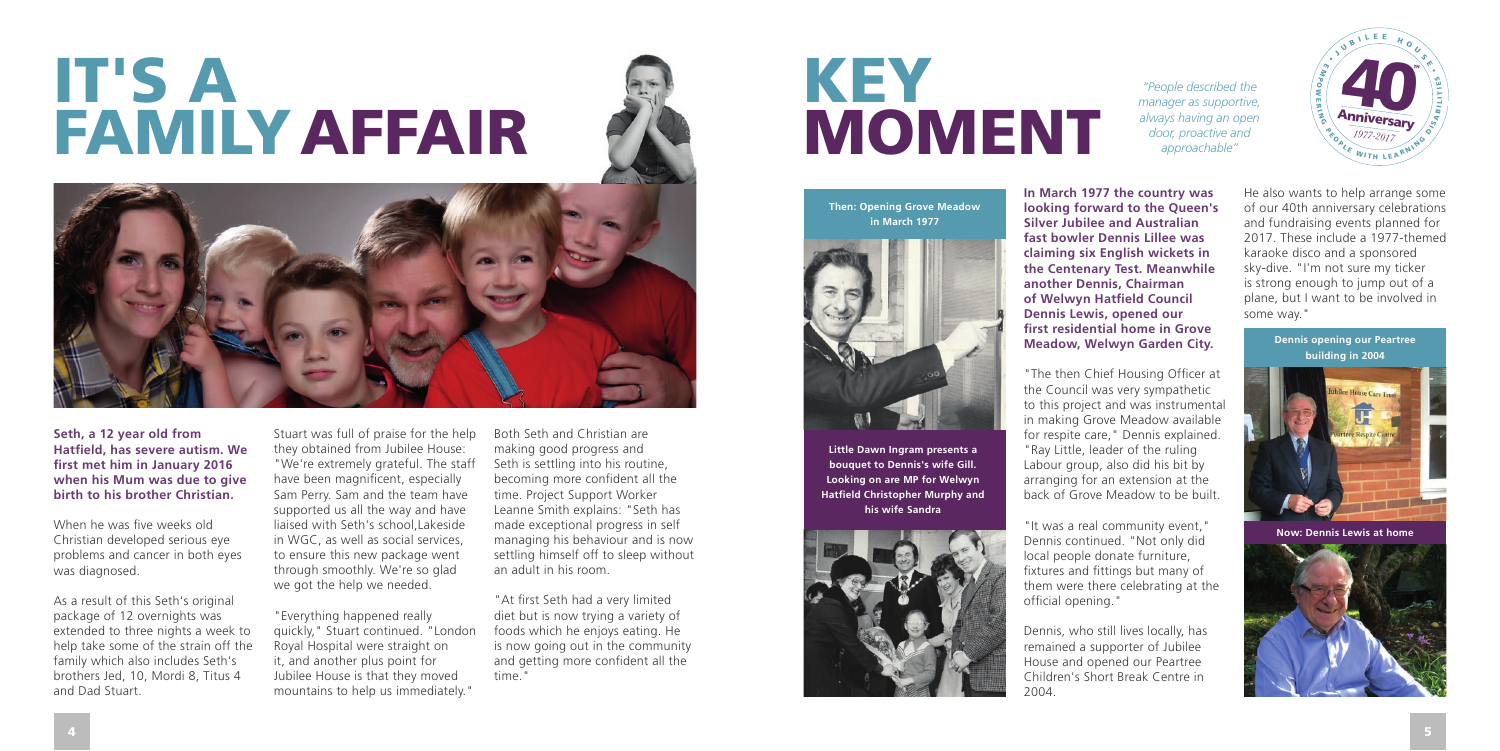

# IT'S A FAMILY AFFAIR





# KEY MOMENT

**Seth, a 12 year old from Hatfield, has severe autism. We first met him in January 2016 when his Mum was due to give birth to his brother Christian.** 

When he was five weeks old Christian developed serious eye problems and cancer in both eyes was diagnosed.

As a result of this Seth's original package of 12 overnights was extended to three nights a week to help take some of the strain off the family which also includes Seth's brothers Jed, 10, Mordi 8, Titus 4 and Dad Stuart.

Stuart was full of praise for the help they obtained from Jubilee House: "We're extremely grateful. The staff have been magnificent, especially Sam Perry. Sam and the team have supported us all the way and have liaised with Seth's school, Lakeside in WGC, as well as social services, to ensure this new package went through smoothly. We're so glad we got the help we needed.

"Everything happened really quickly," Stuart continued. "London Royal Hospital were straight on it, and another plus point for Jubilee House is that they moved mountains to help us immediately."

Both Seth and Christian are making good progress and Seth is settling into his routine, becoming more confident all the time. Project Support Worker Leanne Smith explains: "Seth has made exceptional progress in self managing his behaviour and is now settling himself off to sleep without an adult in his room.

"At first Seth had a very limited diet but is now trying a variety of foods which he enjoys eating. He is now going out in the community and getting more confident all the time."

**In March 1977 the country was looking forward to the Queen's Silver Jubilee and Australian fast bowler Dennis Lillee was claiming six English wickets in the Centenary Test. Meanwhile another Dennis, Chairman of Welwyn Hatfield Council Dennis Lewis, opened our first residential home in Grove** 

**Meadow, Welwyn Garden City.**

"The then Chief Housing Officer at the Council was very sympathetic to this project and was instrumental in making Grove Meadow available for respite care," Dennis explained. "Ray Little, leader of the ruling Labour group, also did his bit by arranging for an extension at the back of Grove Meadow to be built.

"It was a real community event," Dennis continued. "Not only did local people donate furniture, fixtures and fittings but many of them were there celebrating at the official opening."

Dennis, who still lives locally, has remained a supporter of Jubilee House and opened our Peartree Children's Short Break Centre in 2004.

He also wants to help arrange some of our 40th anniversary celebrations and fundraising events planned for 2017. These include a 1977-themed karaoke disco and a sponsored sky-dive. "I'm not sure my ticker is strong enough to jump out of a plane, but I want to be involved in some way."



**Little Dawn Ingram presents a bouquet to Dennis's wife Gill. Looking on are MP for Welwyn Hatfield Christopher Murphy and his wife Sandra**



**Then: Opening Grove Meadow in March 1977**



*"People described the manager as supportive, always having an open door, proactive and approachable"*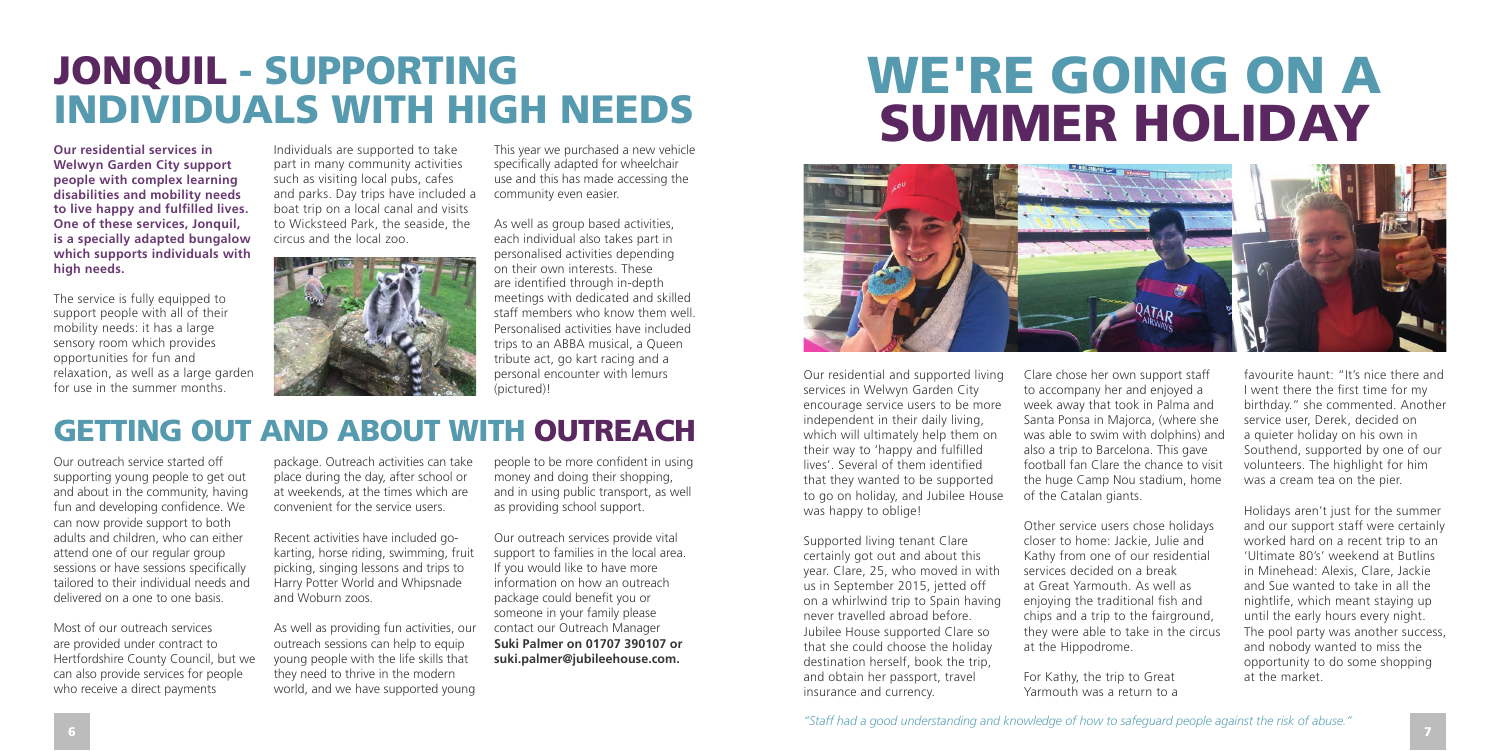**Our residential services in Welwyn Garden City support people with complex learning disabilities and mobility needs to live happy and fulfilled lives. One of these services, Jonquil, is a specially adapted bungalow which supports individuals with high needs.** 

The service is fully equipped to support people with all of their mobility needs: it has a large sensory room which provides opportunities for fun and relaxation, as well as a large garden for use in the summer months.

Individuals are supported to take part in many community activities such as visiting local pubs, cafes and parks. Day trips have included a boat trip on a local canal and visits to Wicksteed Park, the seaside, the circus and the local zoo.



This year we purchased a new vehicle specifically adapted for wheelchair use and this has made accessing the community even easier.

As well as group based activities, each individual also takes part in personalised activities depending on their own interests. These are identified through in-depth meetings with dedicated and skilled staff members who know them well. Personalised activities have included trips to an ABBA musical, a Queen tribute act, go kart racing and a personal encounter with lemurs (pictured)!

Our outreach service started off supporting young people to get out and about in the community, having fun and developing confidence. We can now provide support to both adults and children, who can either attend one of our regular group sessions or have sessions specifically tailored to their individual needs and delivered on a one to one basis.

Most of our outreach services are provided under contract to Hertfordshire County Council, but we can also provide services for people who receive a direct payments

package. Outreach activities can take place during the day, after school or at weekends, at the times which are convenient for the service users.

Recent activities have included gokarting, horse riding, swimming, fruit picking, singing lessons and trips to Harry Potter World and Whipsnade and Woburn zoos.

As well as providing fun activities, our outreach sessions can help to equip young people with the life skills that they need to thrive in the modern world, and we have supported young

people to be more confident in using money and doing their shopping. and in using public transport, as well as providing school support.

Our outreach services provide vital support to families in the local area. If you would like to have more information on how an outreach package could benefit you or someone in your family please contact our Outreach Manager **Suki Palmer on 01707 390107 or suki.palmer@jubileehouse.com.**

Our residential and supported living services in Welwyn Garden City encourage service users to be more independent in their daily living, which will ultimately help them on their way to 'happy and fulfilled lives'. Several of them identified that they wanted to be supported to go on holiday, and Jubilee House was happy to oblige!

Supported living tenant Clare certainly got out and about this year. Clare, 25, who moved in with us in September 2015, jetted off on a whirlwind trip to Spain having never travelled abroad before. Jubilee House supported Clare so that she could choose the holiday destination herself, book the trip, and obtain her passport, travel insurance and currency.

Clare chose her own support staff to accompany her and enjoyed a week away that took in Palma and Santa Ponsa in Majorca, (where she was able to swim with dolphins) and also a trip to Barcelona. This gave football fan Clare the chance to visit the huge Camp Nou stadium, home of the Catalan giants.

Other service users chose holidays closer to home: Jackie, Julie and Kathy from one of our residential services decided on a break at Great Yarmouth. As well as enjoying the traditional fish and chips and a trip to the fairground, they were able to take in the circus at the Hippodrome.

For Kathy, the trip to Great Yarmouth was a return to a

favourite haunt: "It's nice there and I went there the first time for my birthday." she commented. Another service user, Derek, decided on a quieter holiday on his own in Southend, supported by one of our volunteers. The highlight for him was a cream tea on the pier.

Holidays aren't just for the summer and our support staff were certainly worked hard on a recent trip to an 'Ultimate 80's' weekend at Butlins in Minehead: Alexis, Clare, Jackie and Sue wanted to take in all the nightlife, which meant staying up until the early hours every night. The pool party was another success, and nobody wanted to miss the opportunity to do some shopping at the market.

### JONQUIL - SUPPORTING INDIVIDUALS WITH HIGH NEEDS

## WE'RE GOING ON A SUMMER HOLIDAY



### GETTING OUT AND ABOUT WITH OUTREACH